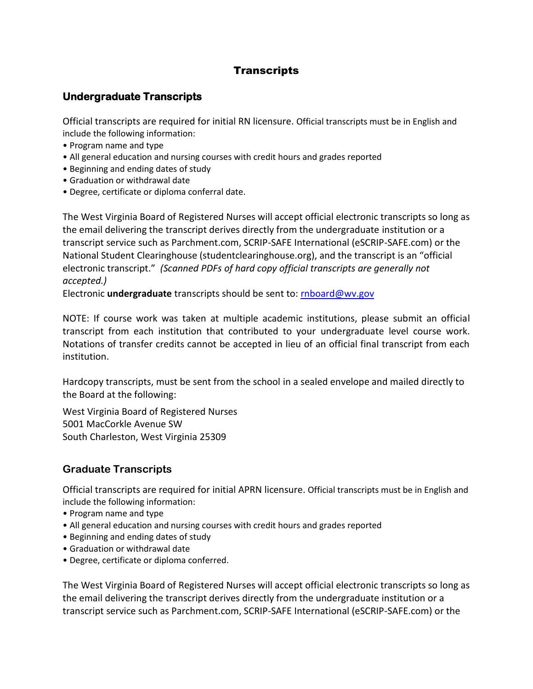## **Transcripts**

## **Undergraduate Transcripts**

Official transcripts are required for initial RN licensure. Official transcripts must be in English and include the following information:

- Program name and type
- All general education and nursing courses with credit hours and grades reported
- Beginning and ending dates of study
- Graduation or withdrawal date
- Degree, certificate or diploma conferral date.

The West Virginia Board of Registered Nurses will accept official electronic transcripts so long as the email delivering the transcript derives directly from the undergraduate institution or a transcript service such as Parchment.com, SCRIP-SAFE International (eSCRIP-SAFE.com) or the National Student Clearinghouse (studentclearinghouse.org), and the transcript is an "official electronic transcript." *(Scanned PDFs of hard copy official transcripts are generally not accepted.)*

Electronic **undergraduate** transcripts should be sent to: [rnboard@wv.gov](mailto:rnboard@wv.gov) 

NOTE: If course work was taken at multiple academic institutions, please submit an official transcript from each institution that contributed to your undergraduate level course work. Notations of transfer credits cannot be accepted in lieu of an official final transcript from each institution.

Hardcopy transcripts, must be sent from the school in a sealed envelope and mailed directly to the Board at the following:

West Virginia Board of Registered Nurses 5001 MacCorkle Avenue SW South Charleston, West Virginia 25309

## **Graduate Transcripts**

Official transcripts are required for initial APRN licensure. Official transcripts must be in English and include the following information:

- Program name and type
- All general education and nursing courses with credit hours and grades reported
- Beginning and ending dates of study
- Graduation or withdrawal date
- Degree, certificate or diploma conferred.

The West Virginia Board of Registered Nurses will accept official electronic transcripts so long as the email delivering the transcript derives directly from the undergraduate institution or a transcript service such as Parchment.com, SCRIP-SAFE International (eSCRIP-SAFE.com) or the